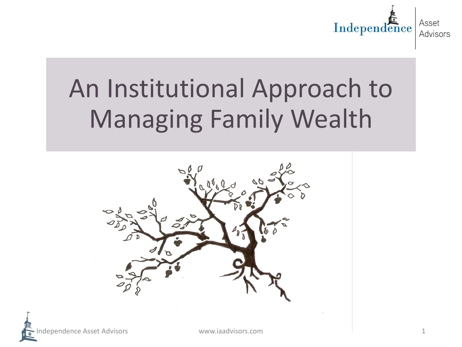

## An Institutional Approach to Managing Family Wealth

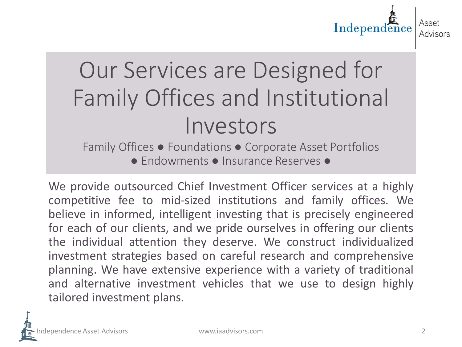

### Our Services are Designed for Family Offices and Institutional Investors

Family Offices ● Foundations ● Corporate Asset Portfolios ● Endowments ● Insurance Reserves ●

We provide outsourced Chief Investment Officer services at a highly competitive fee to mid-sized institutions and family offices. We believe in informed, intelligent investing that is precisely engineered for each of our clients, and we pride ourselves in offering our clients the individual attention they deserve. We construct individualized investment strategies based on careful research and comprehensive planning. We have extensive experience with a variety of traditional and alternative investment vehicles that we use to design highly tailored investment plans.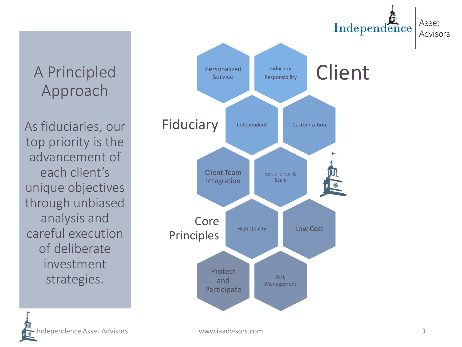A Principled Approach

As fiduciaries, our top priority is the advancement of each client's unique objectives through unbiased analysis and careful execution of deliberate investment strategies.

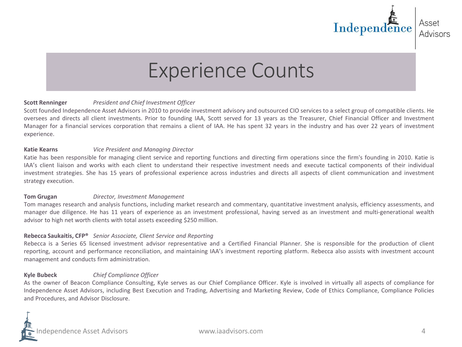

### Experience Counts

### **Scott Renninger** *President and Chief Investment Officer*

Scott founded Independence Asset Advisors in 2010 to provide investment advisory and outsourced CIO services to a select group of compatible clients. He oversees and directs all client investments. Prior to founding IAA, Scott served for 13 years as the Treasurer, Chief Financial Officer and Investment Manager for a financial services corporation that remains a client of IAA. He has spent 32 years in the industry and has over 22 years of investment experience.

#### **Katie Kearns** *Vice President and Managing Director*

Katie has been responsible for managing client service and reporting functions and directing firm operations since the firm's founding in 2010. Katie is IAA's client liaison and works with each client to understand their respective investment needs and execute tactical components of their individual investment strategies. She has 15 years of professional experience across industries and directs all aspects of client communication and investment strategy execution.

#### **Tom Grugan** *Director, Investment Management*

Tom manages research and analysis functions, including market research and commentary, quantitative investment analysis, efficiency assessments, and manager due diligence. He has 11 years of experience as an investment professional, having served as an investment and multi-generational wealth advisor to high net worth clients with total assets exceeding \$250 million.

### **Rebecca Saukaitis, CFP®** *Senior Associate, Client Service and Reporting*

Rebecca is a Series 65 licensed investment advisor representative and a Certified Financial Planner. She is responsible for the production of client reporting, account and performance reconciliation, and maintaining IAA's investment reporting platform. Rebecca also assists with investment account management and conducts firm administration.

#### **Kyle Bubeck** *Chief Compliance Officer*

As the owner of Beacon Compliance Consulting, Kyle serves as our Chief Compliance Officer. Kyle is involved in virtually all aspects of compliance for Independence Asset Advisors, including Best Execution and Trading, Advertising and Marketing Review, Code of Ethics Compliance, Compliance Policies and Procedures, and Advisor Disclosure.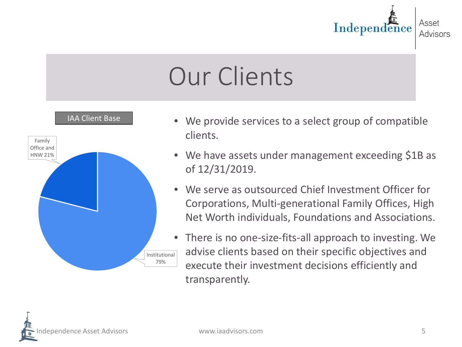

# Our Clients



- We provide services to a select group of compatible clients.
- We have assets under management exceeding \$1B as of 12/31/2019.
- We serve as outsourced Chief Investment Officer for Corporations, Multi-generational Family Offices, High Net Worth individuals, Foundations and Associations.
- There is no one-size-fits-all approach to investing. We advise clients based on their specific objectives and execute their investment decisions efficiently and transparently.

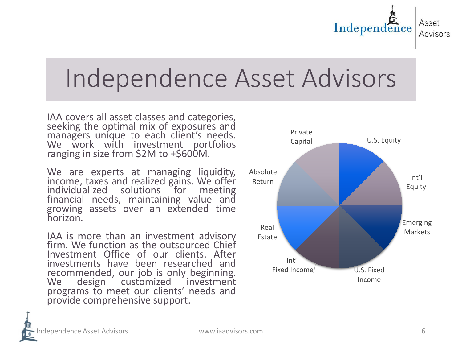

### Independence Asset Advisors

IAA covers all asset classes and categories,<br>seeking the optimal mix of exposures and managers unique to each client's needs. We work with investment portfolios ranging in size from \$2M to +\$600M.

We are experts at managing liquidity, income, taxes and realized gains. We offer<br>individualized solutions for meeting financial needs, maintaining value and growing assets over an extended time horizon.

IAA is more than an investment advisory firm. We function as the outsourced Chief Investment Office of our clients. After investments have been researched and recommended, our job is only beginning. We design customized investment programs to meet our clients' needs and provide comprehensive support.

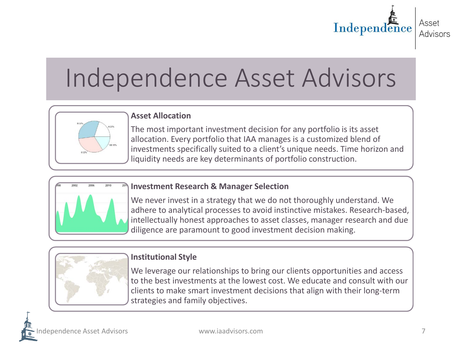

## Independence Asset Advisors



### **Asset Allocation**

The most important investment decision for any portfolio is its asset allocation. Every portfolio that IAA manages is a customized blend of investments specifically suited to a client's unique needs. Time horizon and liquidity needs are key determinants of portfolio construction.



### **Investment Research & Manager Selection**

We never invest in a strategy that we do not thoroughly understand. We adhere to analytical processes to avoid instinctive mistakes. Research-based, intellectually honest approaches to asset classes, manager research and due diligence are paramount to good investment decision making.



### **Institutional Style**

We leverage our relationships to bring our clients opportunities and access to the best investments at the lowest cost. We educate and consult with our clients to make smart investment decisions that align with their long-term strategies and family objectives.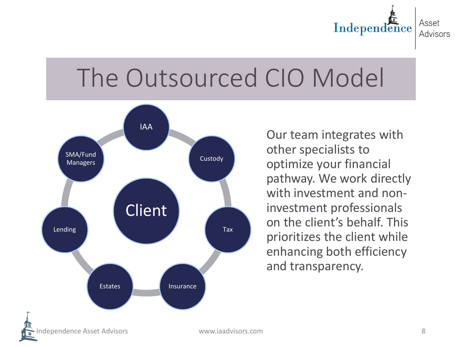

## The Outsourced CIO Model



Our team integrates with other specialists to optimize your financial pathway. We work directly with investment and noninvestment professionals on the client's behalf. This prioritizes the client while enhancing both efficiency and transparency.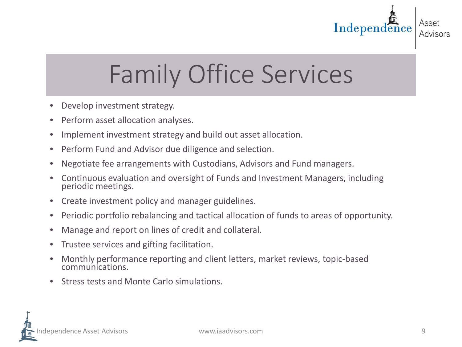

# Family Office Services

- Develop investment strategy.
- Perform asset allocation analyses.
- Implement investment strategy and build out asset allocation.
- Perform Fund and Advisor due diligence and selection.
- Negotiate fee arrangements with Custodians, Advisors and Fund managers.
- Continuous evaluation and oversight of Funds and Investment Managers, including periodic meetings.
- Create investment policy and manager guidelines.
- Periodic portfolio rebalancing and tactical allocation of funds to areas of opportunity.
- Manage and report on lines of credit and collateral.
- Trustee services and gifting facilitation.
- Monthly performance reporting and client letters, market reviews, topic-based communications.
- Stress tests and Monte Carlo simulations.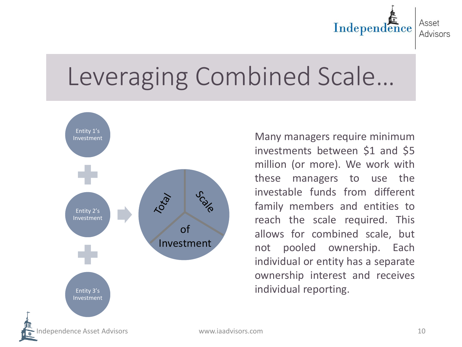

## Leveraging Combined Scale…



Many managers require minimum investments between \$1 and \$5 million (or more). We work with these managers to use the investable funds from different family members and entities to reach the scale required. This allows for combined scale, but not pooled ownership. Each individual or entity has a separate ownership interest and receives individual reporting.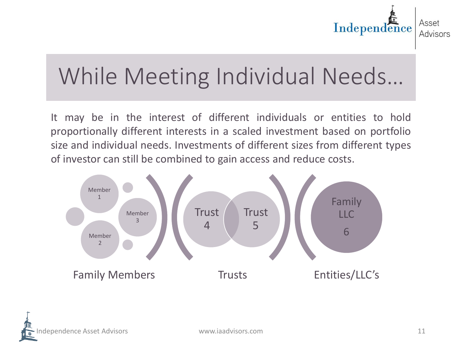

### While Meeting Individual Needs…

It may be in the interest of different individuals or entities to hold proportionally different interests in a scaled investment based on portfolio size and individual needs. Investments of different sizes from different types of investor can still be combined to gain access and reduce costs.



Independence Asset Advisors www.iaadvisors.com 11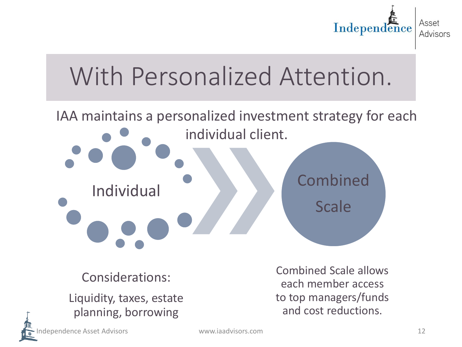

## With Personalized Attention.

## IAA maintains a personalized investment strategy for each individual client. Individual Combined **Scale**

Considerations:

Liquidity, taxes, estate planning, borrowing

Combined Scale allows each member access to top managers/funds and cost reductions.

Independence Asset Advisors www.iaadvisors.com 12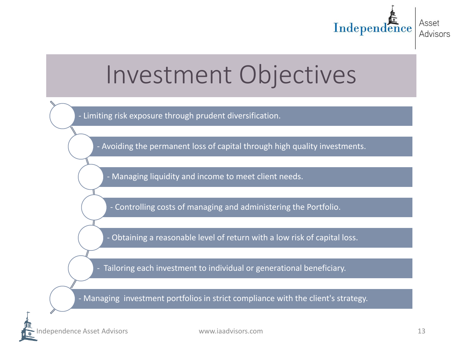

### Investment Objectives

- Limiting risk exposure through prudent diversification.

- Avoiding the permanent loss of capital through high quality investments.

- Managing liquidity and income to meet client needs.

- Controlling costs of managing and administering the Portfolio.

- Obtaining a reasonable level of return with a low risk of capital loss.

- Tailoring each investment to individual or generational beneficiary.

- Managing investment portfolios in strict compliance with the client's strategy.

Independence Asset Advisors www.iaadvisors.com 13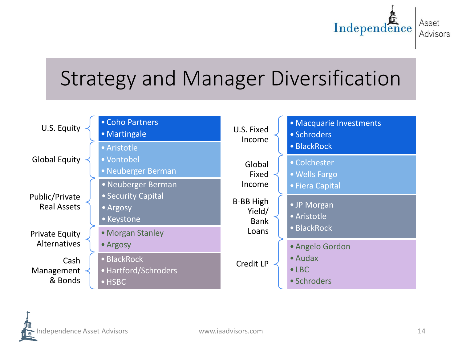

### Strategy and Manager Diversification

U.S. Equity Coho Partners • Martingale Global Equity •Aristotle • Vontobel •Neuberger Berman Public/Private Real Assets •Neuberger Berman • Security Capital •Argosy • Keystone Private Equity Alternatives • Morgan Stanley •Argosy Cash Management & Bonds • BlackRock •Hartford/Schroders •HSBC U.S. Fixed Income • Macquarie Investments • Schroders • BlackRock Global Fixed Income • Colchester •Wells Fargo • Fiera Capital B-BB High Yield/ Bank Loans • JP Morgan •Aristotle • BlackRock Credit LP •Angelo Gordon •Audax  $\bullet$  LBC. • Schroders

dependence Asset Advisors and the communications www.iaadvisors.com and the communications of the communications of  $14$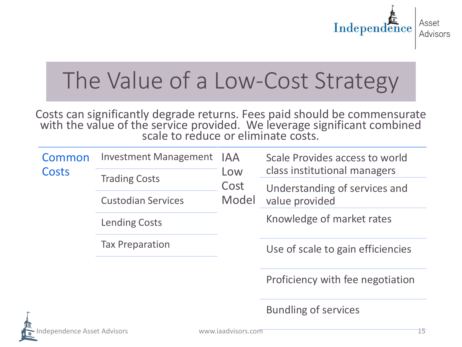

### The Value of a Low-Cost Strategy

Costs can significantly degrade returns. Fees paid should be commensurate with the value of the service provided. We leverage significant combined<br>scale to reduce or eliminate costs.

| Common<br>Costs | <b>Investment Management</b> | IAA<br>Low<br>Cost<br>Model | Scale Provides access to world<br>class institutional managers |
|-----------------|------------------------------|-----------------------------|----------------------------------------------------------------|
|                 | <b>Trading Costs</b>         |                             | Understanding of services and<br>value provided                |
|                 | <b>Custodian Services</b>    |                             |                                                                |
|                 | <b>Lending Costs</b>         |                             | Knowledge of market rates                                      |
|                 | <b>Tax Preparation</b>       |                             | Use of scale to gain efficiencies                              |
|                 |                              |                             | Proficiency with fee negotiation                               |

Bundling of services